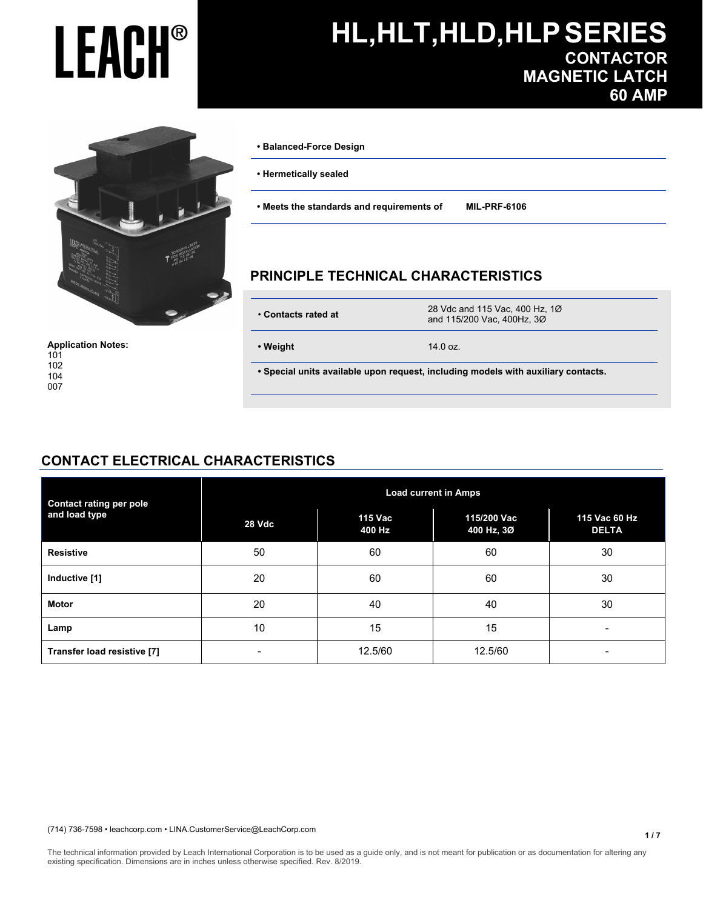

**Application Notes:** 

**• Balanced-Force Design** 

- **Hermetically sealed**
- **Meets the standards and requirements of MIL-PRF-6106**

#### **PRINCIPLE TECHNICAL CHARACTERISTICS**

| • Contacts rated at |  |
|---------------------|--|

 • **Contacts rated at** 28 Vdc and 115 Vac, 400 Hz, 1Ø and 115/200 Vac, 400Hz, 3Ø

 **• Weight** 14.0 oz.

 **• Special units available upon request, including models with auxiliary contacts.** 

#### **CONTACT ELECTRICAL CHARACTERISTICS**

| <b>Contact rating per pole</b> | <b>Load current in Amps</b> |                   |                           |                               |  |
|--------------------------------|-----------------------------|-------------------|---------------------------|-------------------------------|--|
| and load type                  | 28 Vdc                      | 115 Vac<br>400 Hz | 115/200 Vac<br>400 Hz, 3Ø | 115 Vac 60 Hz<br><b>DELTA</b> |  |
| <b>Resistive</b>               | 50                          | 60                | 60                        | 30                            |  |
| Inductive [1]                  | 20                          | 60                | 60                        | 30                            |  |
| <b>Motor</b>                   | 20                          | 40                | 40                        | 30                            |  |
| Lamp                           | 10                          | 15                | 15                        | $\overline{\phantom{0}}$      |  |
| Transfer load resistive [7]    |                             | 12.5/60           | 12.5/60                   | -                             |  |

(714) 736-7598 • leachcorp.com • LINA.CustomerService@LeachCorp.com

The technical information provided by Leach International Corporation is to be used as a guide only, and is not meant for publication or as documentation for altering any existing specification. Dimensions are in inches unless otherwise specified. Rev. 8/2019.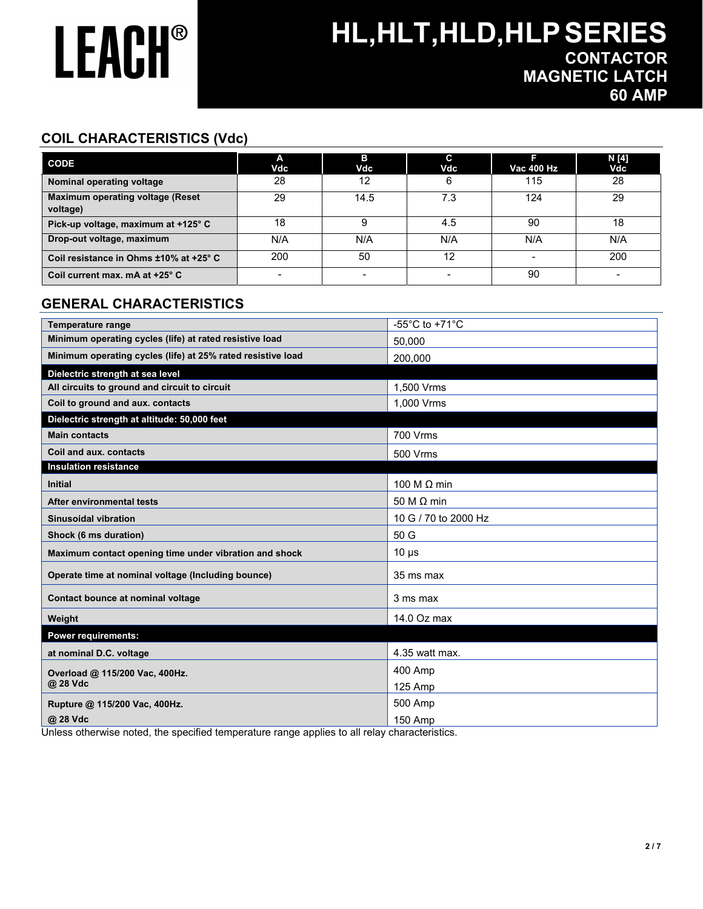## **HL,HLT,HLD,HLPSERIES CONTACTOR MAGNETIC LATCH 60 AMP**

### **COIL CHARACTERISTICS (Vdc)**

| <b>CODE</b>                                         | А<br>Vdc | в<br>Vdc | C<br>Vdc | Vac 400 Hz | N [4]<br>Vdc |
|-----------------------------------------------------|----------|----------|----------|------------|--------------|
| Nominal operating voltage                           | 28       | 12       |          | 115        | 28           |
| <b>Maximum operating voltage (Reset</b><br>voltage) | 29       | 14.5     | 7.3      | 124        | 29           |
| Pick-up voltage, maximum at +125° C                 | 18       |          | 4.5      | 90         | 18           |
| Drop-out voltage, maximum                           | N/A      | N/A      | N/A      | N/A        | N/A          |
| Coil resistance in Ohms ±10% at +25° C              | 200      | 50       | 12       |            | 200          |
| Coil current max. mA at +25° C                      |          |          |          | 90         |              |

#### **GENERAL CHARACTERISTICS**

| <b>Temperature range</b>                                    | -55 $^{\circ}$ C to +71 $^{\circ}$ C |
|-------------------------------------------------------------|--------------------------------------|
| Minimum operating cycles (life) at rated resistive load     | 50.000                               |
| Minimum operating cycles (life) at 25% rated resistive load | 200.000                              |
| Dielectric strength at sea level                            |                                      |
| All circuits to ground and circuit to circuit               | 1,500 Vrms                           |
| Coil to ground and aux. contacts                            | 1,000 Vrms                           |
| Dielectric strength at altitude: 50,000 feet                |                                      |
| <b>Main contacts</b>                                        | 700 Vrms                             |
| Coil and aux. contacts                                      | 500 Vrms                             |
| <b>Insulation resistance</b>                                |                                      |
| <b>Initial</b>                                              | 100 M $\Omega$ min                   |
| After environmental tests                                   | 50 M $\Omega$ min                    |
| <b>Sinusoidal vibration</b>                                 | 10 G / 70 to 2000 Hz                 |
| Shock (6 ms duration)                                       | 50 G                                 |
| Maximum contact opening time under vibration and shock      | $10 \mu s$                           |
| Operate time at nominal voltage (Including bounce)          | 35 ms max                            |
| Contact bounce at nominal voltage                           | 3 ms max                             |
| Weight                                                      | 14.0 Oz max                          |
| <b>Power requirements:</b>                                  |                                      |
| at nominal D.C. voltage                                     | 4.35 watt max.                       |
| Overload @ 115/200 Vac, 400Hz.                              | 400 Amp                              |
| @ 28 Vdc                                                    | 125 Amp                              |
| Rupture @ 115/200 Vac, 400Hz.                               | 500 Amp                              |
| @ 28 Vdc                                                    | 150 Amp                              |

Unless otherwise noted, the specified temperature range applies to all relay characteristics.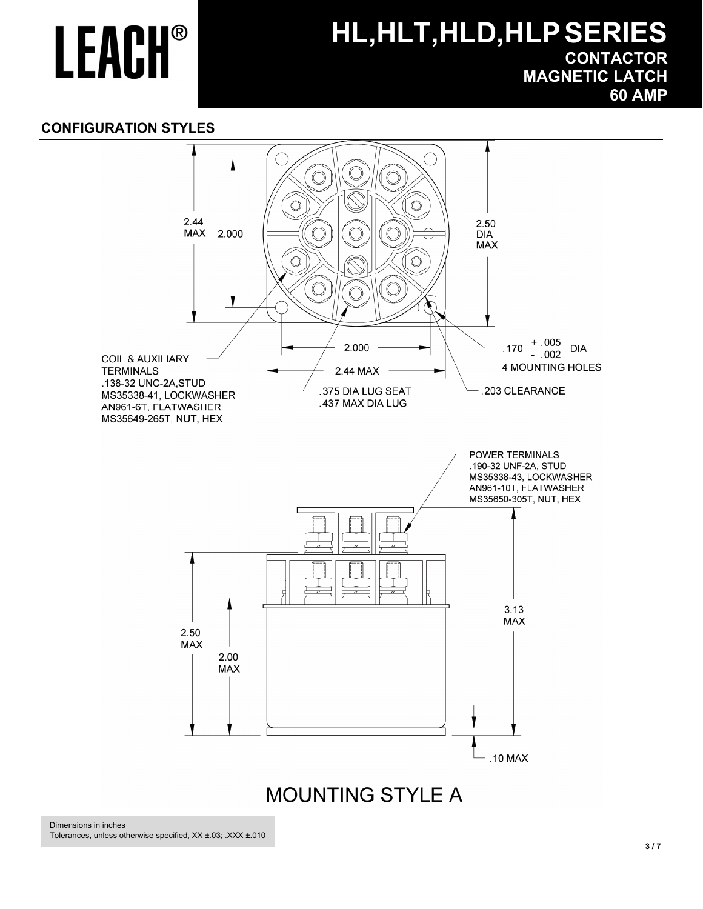## **HL,HLT,HLD,HLPSERIES CONTACTOR MAGNETIC LATCH 60 AMP**

#### **CONFIGURATION STYLES**

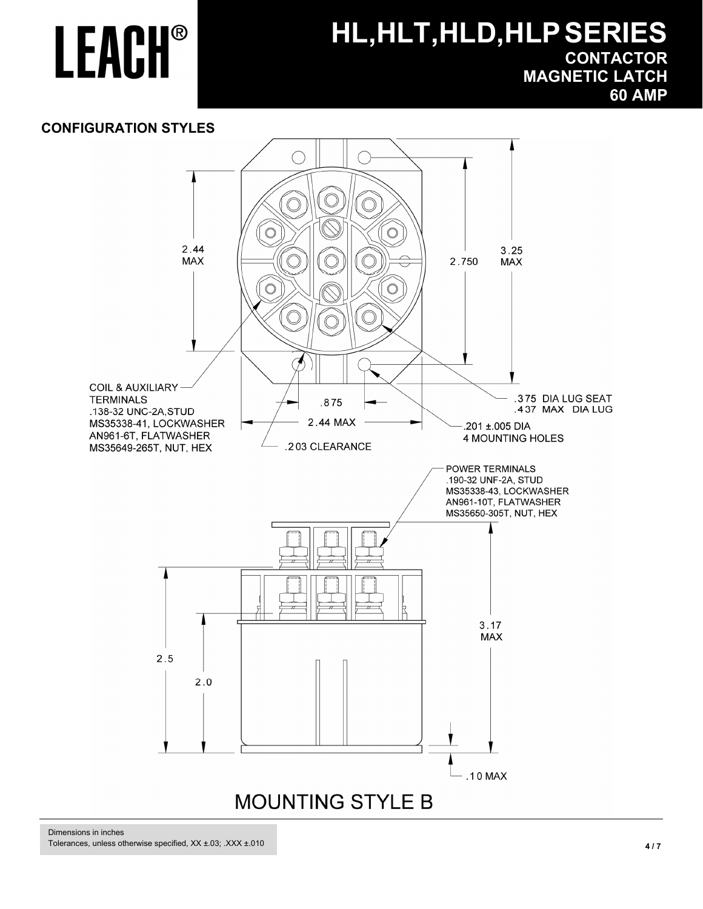## **HL,HLT,HLD,HLPSERIES CONTACTOR MAGNETIC LATCH 60 AMP**

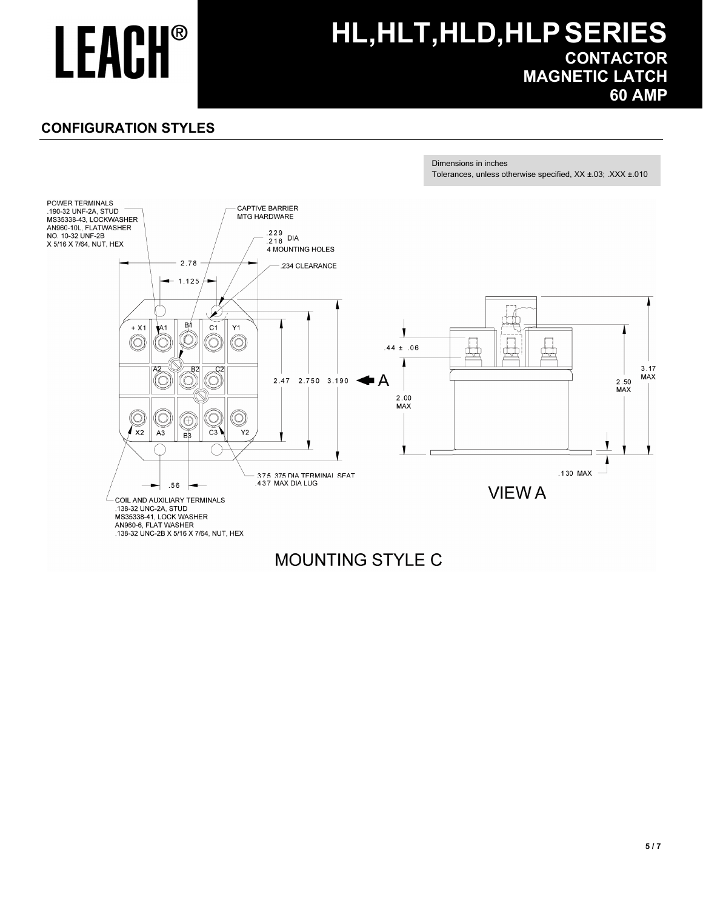## **HL,HLT,HLD,HLPSERIES CONTACTOR MAGNETIC LATCH 60 AMP**

### **CONFIGURATION STYLES**



### **MOUNTING STYLE C**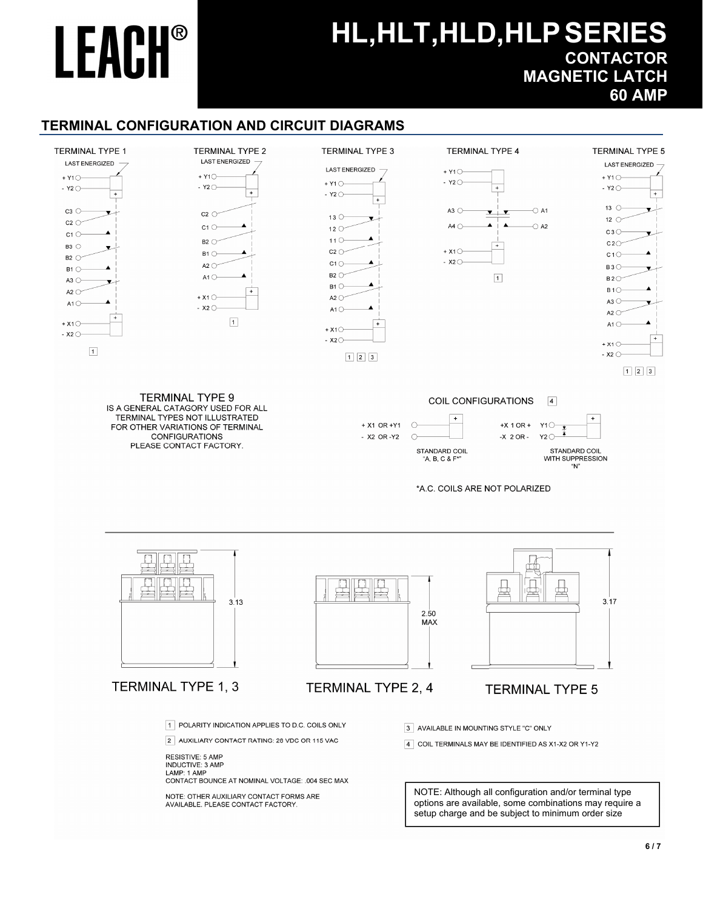## **HL,HLT,HLD,HLPSERIES CONTACTOR MAGNETIC LATCH 60 AMP**

#### **TERMINAL CONFIGURATION AND CIRCUIT DIAGRAMS**